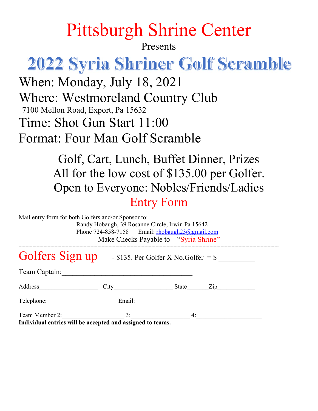## Pittsburgh Shrine Center

Presents

# **2022 Syria Shriner Golf Scramble**

When: Monday, July 18, 2021 Where: Westmoreland Country Club 7100 Mellon Road, Export, Pa 15632 Time: Shot Gun Start 11:00 Format: Four Man Golf Scramble

> Golf, Cart, Lunch, Buffet Dinner, Prizes All for the low cost of \$135.00 per Golfer. Open to Everyone: Nobles/Friends/Ladies Entry Form

| Mail entry form for both Golfers and/or Sponsor to:                           | Randy Hobaugh, 39 Rosanne Circle, Irwin Pa 15642<br>Phone 724-858-7158 Email: rhobaugh23@gmail.com<br>Make Checks Payable to "Syria Shrine" |       |                                   |  |
|-------------------------------------------------------------------------------|---------------------------------------------------------------------------------------------------------------------------------------------|-------|-----------------------------------|--|
| Golfers Sign up $-$ \$135. Per Golfer X No. Golfer = \$                       |                                                                                                                                             |       |                                   |  |
| Team Captain:                                                                 |                                                                                                                                             |       |                                   |  |
| Address                                                                       | City                                                                                                                                        | State | $\mathop{\mathrm {Zip}}\nolimits$ |  |
| Telephone:                                                                    | Email:                                                                                                                                      |       |                                   |  |
| Team Member 2:<br>Individual options will be accounted and assigned to teams. | 3:                                                                                                                                          | 4:    |                                   |  |

**Individual entries will be accepted and assigned to teams.**